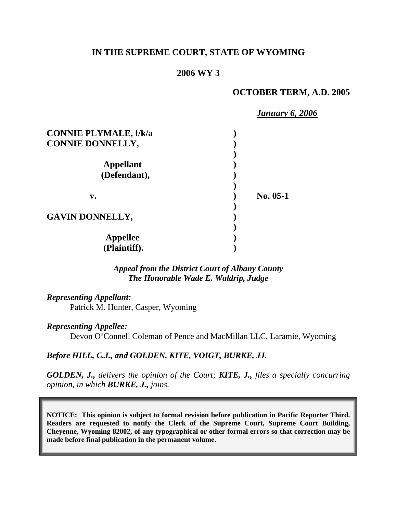### **IN THE SUPREME COURT, STATE OF WYOMING**

### **2006 WY 3**

### **OCTOBER TERM, A.D. 2005**

 *January 6, 2006* **CONNIE PLYMALE, f/k/a ) CONNIE DONNELLY, ) ) Appellant ) (Defendant), ) )**  v. 10.05-1  **) GAVIN DONNELLY, ) ) Appellee ) (Plaintiff). )** 

> *Appeal from the District Court of Albany County The Honorable Wade E. Waldrip, Judge*

*Representing Appellant:* Patrick M. Hunter, Casper, Wyoming

*Representing Appellee:*

Devon O'Connell Coleman of Pence and MacMillan LLC, Laramie, Wyoming

*Before HILL, C.J., and GOLDEN, KITE, VOIGT, BURKE, JJ.* 

*GOLDEN, J., delivers the opinion of the Court; KITE, J., files a specially concurring opinion, in which BURKE, J., joins.*

**NOTICE: This opinion is subject to formal revision before publication in Pacific Reporter Third. Readers are requested to notify the Clerk of the Supreme Court, Supreme Court Building, Cheyenne, Wyoming 82002, of any typographical or other formal errors so that correction may be made before final publication in the permanent volume.**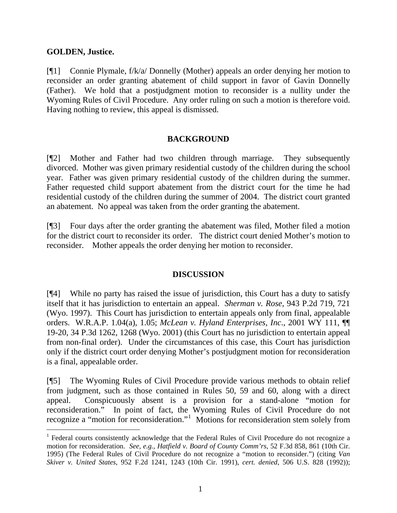### **GOLDEN, Justice.**

l

[¶1] Connie Plymale, f/k/a/ Donnelly (Mother) appeals an order denying her motion to reconsider an order granting abatement of child support in favor of Gavin Donnelly (Father). We hold that a postjudgment motion to reconsider is a nullity under the Wyoming Rules of Civil Procedure. Any order ruling on such a motion is therefore void. Having nothing to review, this appeal is dismissed.

# **BACKGROUND**

[¶2] Mother and Father had two children through marriage. They subsequently divorced. Mother was given primary residential custody of the children during the school year. Father was given primary residential custody of the children during the summer. Father requested child support abatement from the district court for the time he had residential custody of the children during the summer of 2004. The district court granted an abatement. No appeal was taken from the order granting the abatement.

[¶3] Four days after the order granting the abatement was filed, Mother filed a motion for the district court to reconsider its order. The district court denied Mother's motion to reconsider. Mother appeals the order denying her motion to reconsider.

# **DISCUSSION**

[¶4] While no party has raised the issue of jurisdiction, this Court has a duty to satisfy itself that it has jurisdiction to entertain an appeal. *Sherman v. Rose*, 943 P.2d 719, 721 (Wyo. 1997). This Court has jurisdiction to entertain appeals only from final, appealable orders. W.R.A.P. 1.04(a), 1.05; *McLean v. Hyland Enterprises, Inc*., 2001 WY 111, ¶¶ 19-20, 34 P.3d 1262, 1268 (Wyo. 2001) (this Court has no jurisdiction to entertain appeal from non-final order). Under the circumstances of this case, this Court has jurisdiction only if the district court order denying Mother's postjudgment motion for reconsideration is a final, appealable order.

[¶5] The Wyoming Rules of Civil Procedure provide various methods to obtain relief from judgment, such as those contained in Rules 50, 59 and 60, along with a direct appeal. Conspicuously absent is a provision for a stand-alone "motion for reconsideration." In point of fact, the Wyoming Rules of Civil Procedure do not recognize a "motion for reconsideration."<sup>[1](#page-1-0)</sup> Motions for reconsideration stem solely from

<span id="page-1-0"></span><sup>&</sup>lt;sup>1</sup> Federal courts consistently acknowledge that the Federal Rules of Civil Procedure do not recognize a motion for reconsideration. *See, e.g., Hatfield v. Board of County Comm'rs*, 52 F.3d 858, 861 (10th Cir. 1995) (The Federal Rules of Civil Procedure do not recognize a "motion to reconsider.") (citing *Van Skiver v. United States*, 952 F.2d 1241, 1243 (10th Cir. 1991), *cert. denied*, 506 U.S. 828 (1992));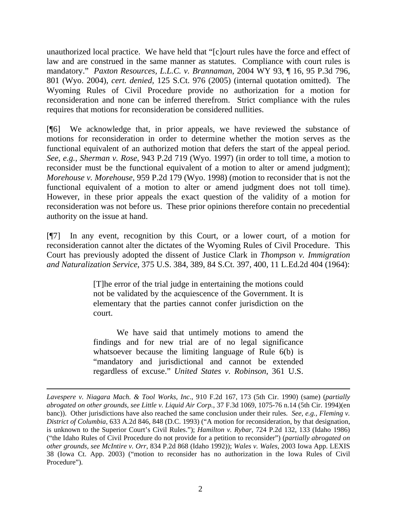unauthorized local practice. We have held that "[c]ourt rules have the force and effect of law and are construed in the same manner as statutes. Compliance with court rules is mandatory." *Paxton Resources, L.L.C. v. Brannaman*, 2004 WY 93, ¶ 16, 95 P.3d 796, 801 (Wyo. 2004), *cert. denied,* 125 S.Ct. 976 (2005) (internal quotation omitted). The Wyoming Rules of Civil Procedure provide no authorization for a motion for reconsideration and none can be inferred therefrom. Strict compliance with the rules requires that motions for reconsideration be considered nullities.

[¶6] We acknowledge that, in prior appeals, we have reviewed the substance of motions for reconsideration in order to determine whether the motion serves as the functional equivalent of an authorized motion that defers the start of the appeal period. *See, e.g., Sherman v. Rose*, 943 P.2d 719 (Wyo. 1997) (in order to toll time, a motion to reconsider must be the functional equivalent of a motion to alter or amend judgment); *Morehouse v. Morehouse*, 959 P.2d 179 (Wyo. 1998) (motion to reconsider that is not the functional equivalent of a motion to alter or amend judgment does not toll time). However, in these prior appeals the exact question of the validity of a motion for reconsideration was not before us. These prior opinions therefore contain no precedential authority on the issue at hand.

[¶7] In any event, recognition by this Court, or a lower court, of a motion for reconsideration cannot alter the dictates of the Wyoming Rules of Civil Procedure. This Court has previously adopted the dissent of Justice Clark in *Thompson v. Immigration and Naturalization Service*, 375 U.S. 384, 389, 84 S.Ct. 397, 400, 11 L.Ed.2d 404 (1964):

> [T]he error of the trial judge in entertaining the motions could not be validated by the acquiescence of the Government. It is elementary that the parties cannot confer jurisdiction on the court.

> We have said that untimely motions to amend the findings and for new trial are of no legal significance whatsoever because the limiting language of Rule 6(b) is "mandatory and jurisdictional and cannot be extended regardless of excuse." *United States v. Robinson*, 361 U.S.

*Lavespere v. Niagara Mach. & Tool Works, Inc*., 910 F.2d 167, 173 (5th Cir. 1990) (same) (*partially abrogated on other grounds*, *see Little v. Liquid Air Corp.*, 37 F.3d 1069, 1075-76 n.14 (5th Cir. 1994)(en banc)). Other jurisdictions have also reached the same conclusion under their rules. *See, e.g., Fleming v. District of Columbia,* 633 A.2d 846, 848 (D.C. 1993) ("A motion for reconsideration, by that designation, is unknown to the Superior Court's Civil Rules."); *Hamilton v. Rybar*, 724 P.2d 132, 133 (Idaho 1986) ("the Idaho Rules of Civil Procedure do not provide for a petition to reconsider") (*partially abrogated on other grounds, see McIntire v. Orr*, 834 P.2d 868 (Idaho 1992)); *Wales v. Wales*, 2003 Iowa App. LEXIS 38 (Iowa Ct. App. 2003) ("motion to reconsider has no authorization in the Iowa Rules of Civil Procedure").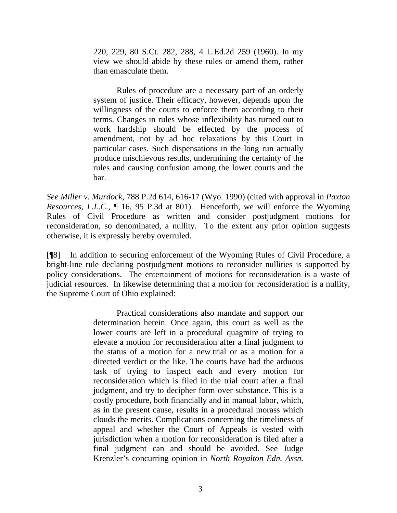220, 229, 80 S.Ct. 282, 288, 4 L.Ed.2d 259 (1960). In my view we should abide by these rules or amend them, rather than emasculate them.

 Rules of procedure are a necessary part of an orderly system of justice. Their efficacy, however, depends upon the willingness of the courts to enforce them according to their terms. Changes in rules whose inflexibility has turned out to work hardship should be effected by the process of amendment, not by ad hoc relaxations by this Court in particular cases. Such dispensations in the long run actually produce mischievous results, undermining the certainty of the rules and causing confusion among the lower courts and the bar.

*See Miller v. Murdock*, 788 P.2d 614, 616-17 (Wyo. 1990) (cited with approval in *Paxton Resources, L.L.C.*, ¶ 16, 95 P.3d at 801). Henceforth, we will enforce the Wyoming Rules of Civil Procedure as written and consider postjudgment motions for reconsideration, so denominated, a nullity. To the extent any prior opinion suggests otherwise, it is expressly hereby overruled.

[¶8] In addition to securing enforcement of the Wyoming Rules of Civil Procedure, a bright-line rule declaring postjudgment motions to reconsider nullities is supported by policy considerations. The entertainment of motions for reconsideration is a waste of judicial resources. In likewise determining that a motion for reconsideration is a nullity, the Supreme Court of Ohio explained:

> Practical considerations also mandate and support our determination herein. Once again, this court as well as the lower courts are left in a procedural quagmire of trying to elevate a motion for reconsideration after a final judgment to the status of a motion for a new trial or as a motion for a directed verdict or the like. The courts have had the arduous task of trying to inspect each and every motion for reconsideration which is filed in the trial court after a final judgment, and try to decipher form over substance. This is a costly procedure, both financially and in manual labor, which, as in the present cause, results in a procedural morass which clouds the merits. Complications concerning the timeliness of appeal and whether the Court of Appeals is vested with jurisdiction when a motion for reconsideration is filed after a final judgment can and should be avoided. See Judge Krenzler's concurring opinion in *North Royalton Edn. Assn.*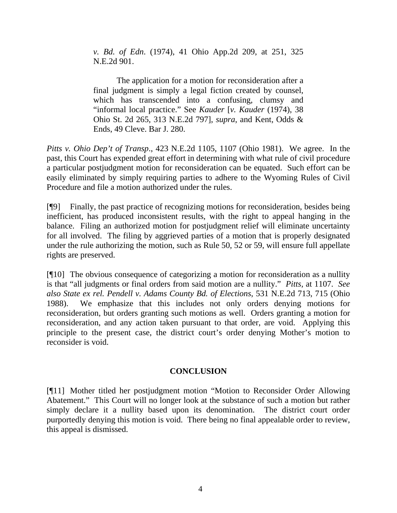*v. Bd. of Edn*. (1974), 41 Ohio App.2d 209, at 251, 325 N.E.2d 901.

 The application for a motion for reconsideration after a final judgment is simply a legal fiction created by counsel, which has transcended into a confusing, clumsy and "informal local practice." See *Kauder* [*v. Kauder* (1974), 38 Ohio St. 2d 265, 313 N.E.2d 797], *supra*, and Kent, Odds & Ends, 49 Cleve. Bar J. 280.

*Pitts v. Ohio Dep't of Transp*., 423 N.E.2d 1105, 1107 (Ohio 1981). We agree. In the past, this Court has expended great effort in determining with what rule of civil procedure a particular postjudgment motion for reconsideration can be equated. Such effort can be easily eliminated by simply requiring parties to adhere to the Wyoming Rules of Civil Procedure and file a motion authorized under the rules.

[¶9] Finally, the past practice of recognizing motions for reconsideration, besides being inefficient, has produced inconsistent results, with the right to appeal hanging in the balance. Filing an authorized motion for postjudgment relief will eliminate uncertainty for all involved. The filing by aggrieved parties of a motion that is properly designated under the rule authorizing the motion, such as Rule 50, 52 or 59, will ensure full appellate rights are preserved.

[¶10] The obvious consequence of categorizing a motion for reconsideration as a nullity is that "all judgments or final orders from said motion are a nullity." *Pitts,* at 1107. *See also State ex rel. Pendell v. Adams County Bd. of Elections*, 531 N.E.2d 713, 715 (Ohio 1988). We emphasize that this includes not only orders denying motions for reconsideration, but orders granting such motions as well. Orders granting a motion for reconsideration, and any action taken pursuant to that order, are void. Applying this principle to the present case, the district court's order denying Mother's motion to reconsider is void.

#### **CONCLUSION**

[¶11] Mother titled her postjudgment motion "Motion to Reconsider Order Allowing Abatement." This Court will no longer look at the substance of such a motion but rather simply declare it a nullity based upon its denomination. The district court order purportedly denying this motion is void. There being no final appealable order to review, this appeal is dismissed.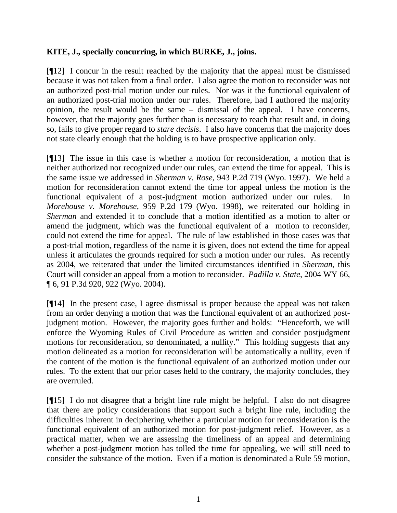# **KITE, J., specially concurring, in which BURKE, J., joins.**

[¶12] I concur in the result reached by the majority that the appeal must be dismissed because it was not taken from a final order. I also agree the motion to reconsider was not an authorized post-trial motion under our rules. Nor was it the functional equivalent of an authorized post-trial motion under our rules. Therefore, had I authored the majority opinion, the result would be the same – dismissal of the appeal. I have concerns, however, that the majority goes further than is necessary to reach that result and, in doing so, fails to give proper regard to *stare decisis*. I also have concerns that the majority does not state clearly enough that the holding is to have prospective application only.

[¶13] The issue in this case is whether a motion for reconsideration, a motion that is neither authorized nor recognized under our rules, can extend the time for appeal. This is the same issue we addressed in *Sherman v. Rose*, 943 P.2d 719 (Wyo. 1997). We held a motion for reconsideration cannot extend the time for appeal unless the motion is the functional equivalent of a post-judgment motion authorized under our rules. In *Morehouse v. Morehouse*, 959 P.2d 179 (Wyo. 1998), we reiterated our holding in *Sherman* and extended it to conclude that a motion identified as a motion to alter or amend the judgment, which was the functional equivalent of a motion to reconsider, could not extend the time for appeal. The rule of law established in those cases was that a post-trial motion, regardless of the name it is given, does not extend the time for appeal unless it articulates the grounds required for such a motion under our rules. As recently as 2004, we reiterated that under the limited circumstances identified in *Sherman*, this Court will consider an appeal from a motion to reconsider. *Padilla v. State*, 2004 WY 66, ¶ 6, 91 P.3d 920, 922 (Wyo. 2004).

[¶14] In the present case, I agree dismissal is proper because the appeal was not taken from an order denying a motion that was the functional equivalent of an authorized postjudgment motion. However, the majority goes further and holds: "Henceforth, we will enforce the Wyoming Rules of Civil Procedure as written and consider postjudgment motions for reconsideration, so denominated, a nullity." This holding suggests that any motion delineated as a motion for reconsideration will be automatically a nullity, even if the content of the motion is the functional equivalent of an authorized motion under our rules. To the extent that our prior cases held to the contrary, the majority concludes, they are overruled.

[¶15] I do not disagree that a bright line rule might be helpful. I also do not disagree that there are policy considerations that support such a bright line rule, including the difficulties inherent in deciphering whether a particular motion for reconsideration is the functional equivalent of an authorized motion for post-judgment relief. However, as a practical matter, when we are assessing the timeliness of an appeal and determining whether a post-judgment motion has tolled the time for appealing, we will still need to consider the substance of the motion. Even if a motion is denominated a Rule 59 motion,